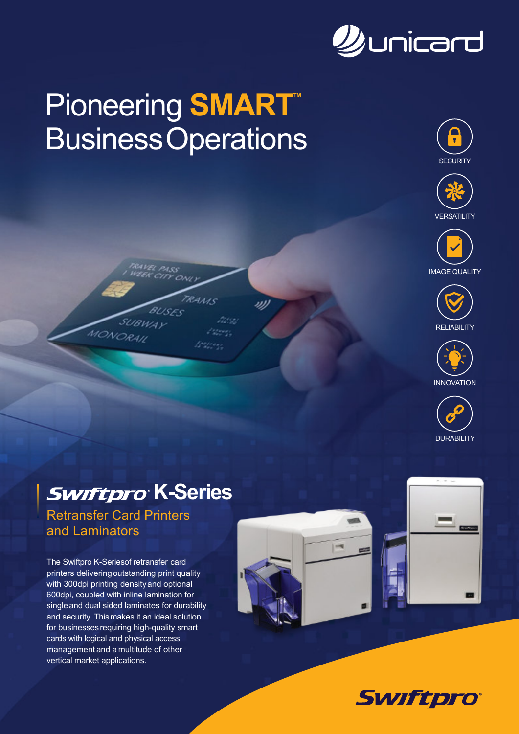

# **Pioneering SMART BusinessOperations**

**RAMS** 

azer. nover.

<u>Wiresc</u>











### **Swiftpro K-Series**

Retransfer Card Printers and Laminators

MONORAL

The Swiftpro K-Seriesof retransfer card printers deliveringoutstanding print quality with 300dpi printing densityand optional 600dpi, coupled with inline lamination for singleand dual sided laminates for durability and security. Thismakes it an ideal solution for businessesrequiring high-quality smart cards with logical and physical access management and a multitude of other vertical market applications.





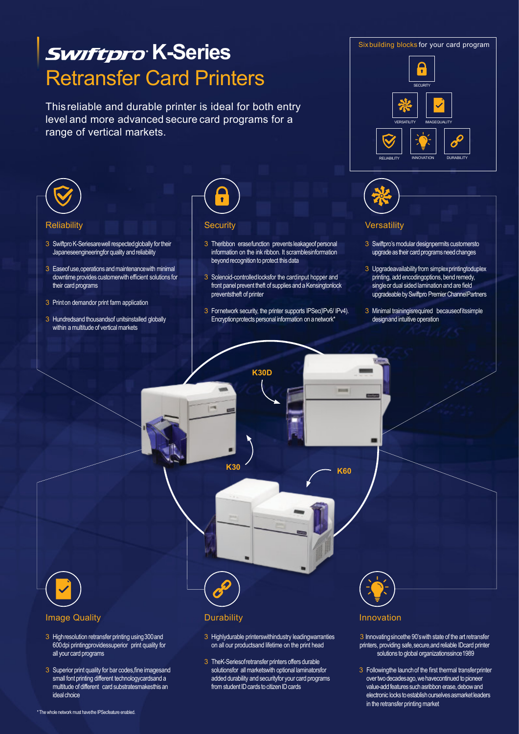

3 Superior print quality for bar codes,fine imagesand small font printing different technologycardsand a multitude of different card substratesmakesthis an ideal choice

3 TheK-Seriesofretransfer printers offers durable solutionsfor all marketswith optional laminatorsfor added durability and securityfor your card programs from student ID cards to citizen ID cards

#### 3 Followingthe launch of the first thermal transferprinter over two decadesago, we havecontinued to pioneer value-add features such asribbon erase, debow and electronic locks to establish ourselves asmarket leaders

in the retransfer printing market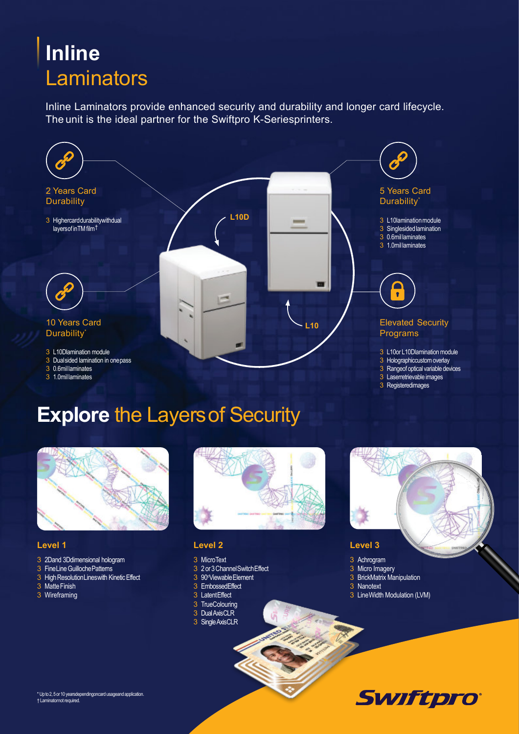# **Inline Laminators**

Inline Laminators provide enhanced security and durability and longer card lifecycle. The unit is the ideal partner for the Swiftpro K-Seriesprinters.



# **Explore** the Layersof Security



#### **Level 1**

- 3 2Dand 3Ddimensional hologram
- 3 FineLine Guilloche Patterns
- 3 High ResolutionLines with Kinetic Effect
- 3 Matte Finish
- 3 Wireframing



#### **Level 2**

#### 3 MicroText

- 3 2or3ChannelSwitchEffect
- 3 90<sup>o</sup>Viewable Element
- 3 EmbossedEffect
- 3 LatentEffect
- 3 TrueColouring
- 3 DualAxisCLR
- 3 SingleAxisCLR



**Swiftpro** 

#### **Level 3**

- 3 Achrogram
- 3 Micro Imagery
- 3 BrickMatrix Manipulation
- 3 Nanotext
- 3 LineWidth Modulation (LVM)